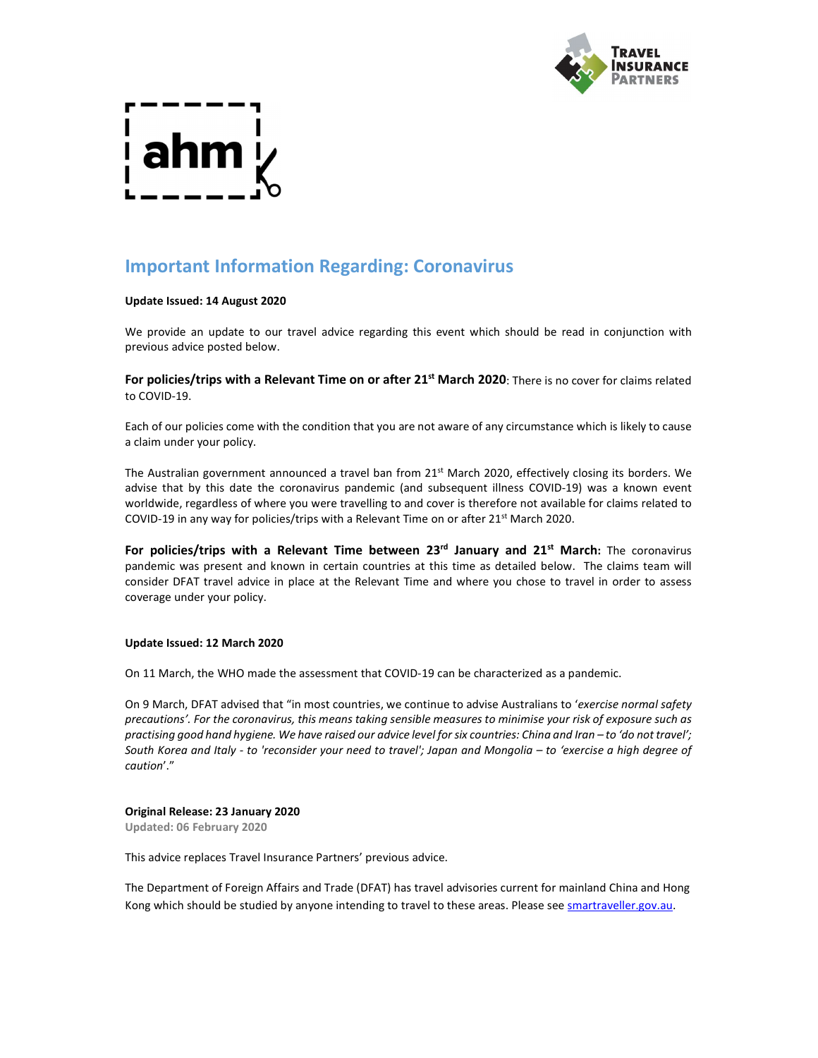

# Important Information Regarding: Coronavirus

#### Update Issued: 14 August 2020

We provide an update to our travel advice regarding this event which should be read in conjunction with previous advice posted below.

For policies/trips with a Relevant Time on or after 21<sup>st</sup> March 2020: There is no cover for claims related to COVID-19.

Each of our policies come with the condition that you are not aware of any circumstance which is likely to cause a claim under your policy.

The Australian government announced a travel ban from 21<sup>st</sup> March 2020, effectively closing its borders. We advise that by this date the coronavirus pandemic (and subsequent illness COVID-19) was a known event worldwide, regardless of where you were travelling to and cover is therefore not available for claims related to COVID-19 in any way for policies/trips with a Relevant Time on or after 21<sup>st</sup> March 2020.

For policies/trips with a Relevant Time between  $23<sup>rd</sup>$  January and  $21<sup>st</sup>$  March: The coronavirus pandemic was present and known in certain countries at this time as detailed below. The claims team will consider DFAT travel advice in place at the Relevant Time and where you chose to travel in order to assess coverage under your policy.

#### Update Issued: 12 March 2020

On 11 March, the WHO made the assessment that COVID-19 can be characterized as a pandemic.

On 9 March, DFAT advised that "in most countries, we continue to advise Australians to 'exercise normal safety precautions'. For the coronavirus, this means taking sensible measures to minimise your risk of exposure such as practising good hand hygiene. We have raised our advice level for six countries: China and Iran – to 'do not travel'; South Korea and Italy - to 'reconsider your need to travel'; Japan and Mongolia – to 'exercise a high degree of caution'."

#### Original Release: 23 January 2020

Updated: 06 February 2020

This advice replaces Travel Insurance Partners' previous advice.

The Department of Foreign Affairs and Trade (DFAT) has travel advisories current for mainland China and Hong Kong which should be studied by anyone intending to travel to these areas. Please see smartraveller.gov.au.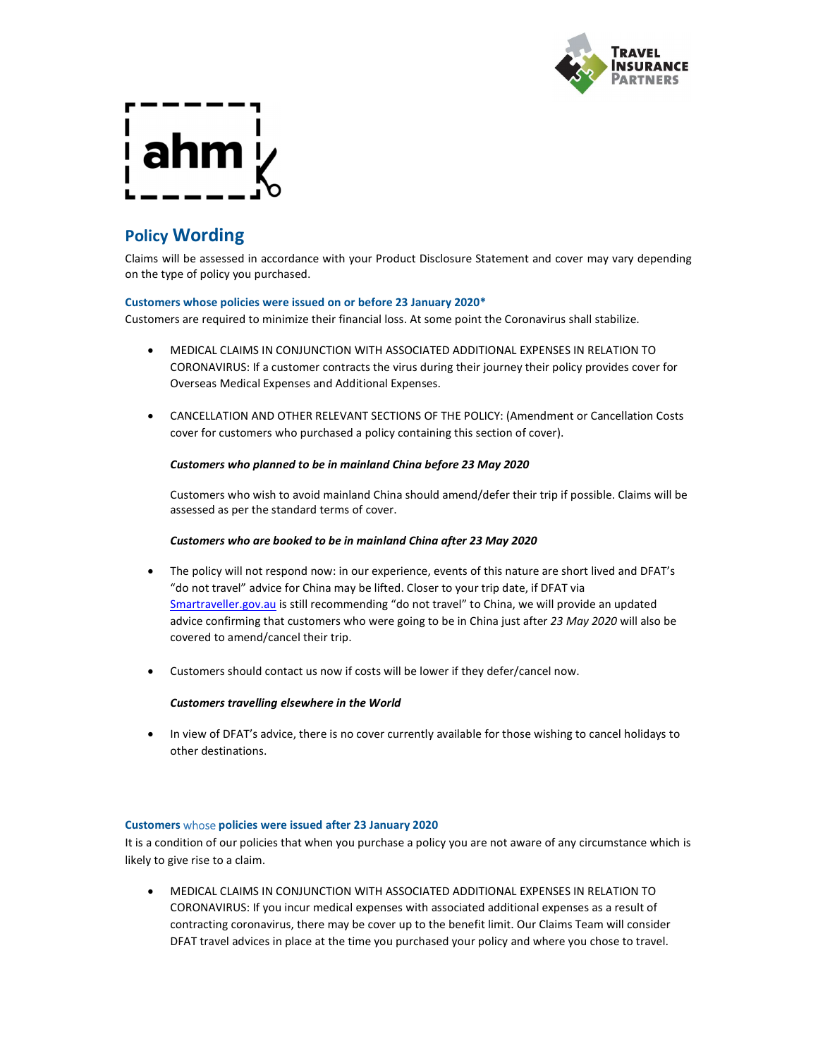

# hm j

## Policy Wording

Claims will be assessed in accordance with your Product Disclosure Statement and cover may vary depending on the type of policy you purchased.

#### Customers whose policies were issued on or before 23 January 2020\*

Customers are required to minimize their financial loss. At some point the Coronavirus shall stabilize.

- MEDICAL CLAIMS IN CONJUNCTION WITH ASSOCIATED ADDITIONAL EXPENSES IN RELATION TO CORONAVIRUS: If a customer contracts the virus during their journey their policy provides cover for Overseas Medical Expenses and Additional Expenses.
- CANCELLATION AND OTHER RELEVANT SECTIONS OF THE POLICY: (Amendment or Cancellation Costs cover for customers who purchased a policy containing this section of cover).

#### Customers who planned to be in mainland China before 23 May 2020

Customers who wish to avoid mainland China should amend/defer their trip if possible. Claims will be assessed as per the standard terms of cover.

#### Customers who are booked to be in mainland China after 23 May 2020

- The policy will not respond now: in our experience, events of this nature are short lived and DFAT's "do not travel" advice for China may be lifted. Closer to your trip date, if DFAT via Smartraveller.gov.au is still recommending "do not travel" to China, we will provide an updated advice confirming that customers who were going to be in China just after 23 May 2020 will also be covered to amend/cancel their trip.
- Customers should contact us now if costs will be lower if they defer/cancel now.

### Customers travelling elsewhere in the World

• In view of DFAT's advice, there is no cover currently available for those wishing to cancel holidays to other destinations.

#### Customers whose policies were issued after 23 January 2020

It is a condition of our policies that when you purchase a policy you are not aware of any circumstance which is likely to give rise to a claim.

 MEDICAL CLAIMS IN CONJUNCTION WITH ASSOCIATED ADDITIONAL EXPENSES IN RELATION TO CORONAVIRUS: If you incur medical expenses with associated additional expenses as a result of contracting coronavirus, there may be cover up to the benefit limit. Our Claims Team will consider DFAT travel advices in place at the time you purchased your policy and where you chose to travel.